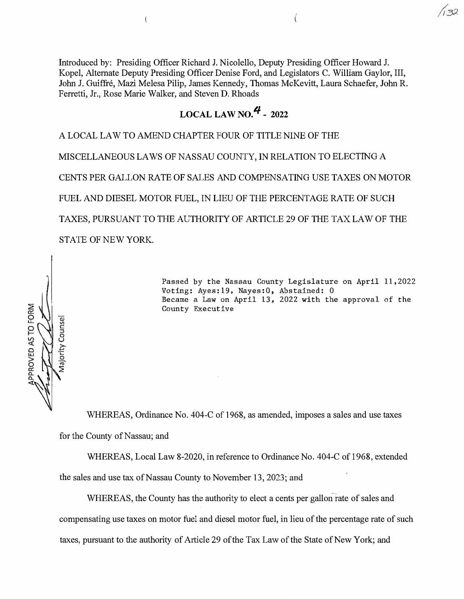Introduced by: Presiding Officer Richard J. Nicolello, Deputy Presiding Officer Howard J. Kopel, Alternate Deputy Presiding Officer Denise Ford, and Legislators C. William Gaylor, III, John J. Guiffré, Mazi Melesa Pilip, James Kennedy, Thomas McKevitt, Laura Schaefer, John R. Ferretti, Jr., Rose Marie Walker, and Steven D. Rhoads

## **LOCAL LAW NO.**<sup>*4*</sup> - 2022

A LOCAL LAW TO AMEND CHAPTER FOUR OF TITLE NINE OF THE

PPROVED AS TO FORM

Majority Counse

MISCELLANEOUS LAWS OF NASSAU COUNTY, IN RELATION TO ELECTING A

CENTS PER GALLON RATE OF SALES AND COMPENSATING USE TAXES ON MOTOR

FUEL AND DIESEL MOTOR FUEL, IN LIEU OF THE PERCENTAGE RATE OF SUCH

TAXES, PURSUANT TO THE AUTHORITY OF ARTICLE 29 OF THE TAX LAW OF THE STATE OF NEW YORK.

> Passed by the Nassau County Legislature on April 11,2022 Voting: Ayes:19, Nayes:0, Abstained: 0 Became a Law on April 13, 2022 with the approval of the County Executive

 $132$ 

WHEREAS, Ordinance No. 404-C of 1968, as amended, imposes a sales and use taxes for the County of Nassau; and

WHEREAS, Local Law 8-2020, in reference to Ordinance No. 404-C of 1968, extended the sales and use tax of Nassau County to November 13, 2023; and

WHEREAS, the County has the authority to elect a cents per gallon rate of sales and compensating use taxes on motor fuel and diesel motor fuel, in lieu of the percentage rate of such taxes, pursuant to the authority of Article 29 of the Tax Law of the State of New York; and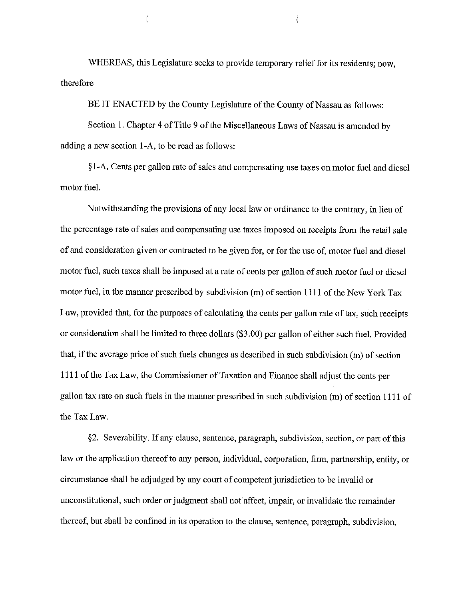WHEREAS, this Legislature seeks to provide temporary relief for its residents; now, therefore

BE IT ENACTED by the County Legislature of the County of Nassau as follows:

Section 1. Chapter 4 of Title 9 of the Miscellaneous Laws of Nassau is amended by adding a new section 1-A, to be read as follows:

§1-A. Cents per gallon rate of sales and compensating use taxes on motor fuel and diesel motor fuel.

Notwithstanding the provisions of any local law or ordinance to the contrary, in lieu of the percentage rate of sales and compensating use taxes imposed on receipts from the retail sale of and consideration given or contracted to be given for, or for the use of, motor fuel and diesel motor fuel, such taxes shall be imposed at a rate of cents per gallon of such motor fuel or diesel motor fuel, in the manner prescribed by subdivision (m) of section 1111 of the New York Tax Law, provided that, for the purposes of calculating the cents per gallon rate of tax, such receipts or consideration shall be limited to three dollars (\$3.00) per gallon of either such fuel. Provided that, if the average price of such fuels changes as described in such subdivision (m) of section 1111 of the Tax Law, the Commissioner of Taxation and Finance shall adjust the cents per gallon tax rate on such fuels in the manner prescribed in such subdivision (m) of section 1111 of the Tax Law.

§2. Severability. If any clause, sentence, paragraph, subdivision, section, or part of this law or the application thereof to any person, individual, corporation, firm, partnership, entity, or circumstance shall be adjudged by any court of competent jurisdiction to be invalid or unconstitutional, such order or judgment shall not affect, impair, or invalidate the remainder thereof, but shall be confined in its operation to the clause, sentence, paragraph, subdivision,